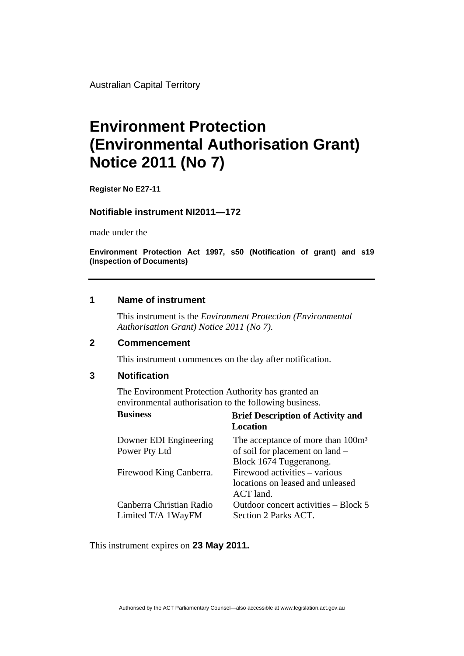Australian Capital Territory

# **Environment Protection (Environmental Authorisation Grant) Notice 2011 (No 7)**

**Register No E27-11** 

## **Notifiable instrument NI2011—172**

made under the

**Environment Protection Act 1997, s50 (Notification of grant) and s19 (Inspection of Documents)** 

# **1 Name of instrument**

This instrument is the *Environment Protection (Environmental Authorisation Grant) Notice 2011 (No 7).* 

#### **2 Commencement**

This instrument commences on the day after notification.

## **3 Notification**

The Environment Protection Authority has granted an environmental authorisation to the following business.

| <b>Business</b>          | <b>Brief Description of Activity and</b><br>Location |
|--------------------------|------------------------------------------------------|
| Downer EDI Engineering   | The acceptance of more than 100m <sup>3</sup>        |
| Power Pty Ltd            | of soil for placement on land –                      |
|                          | Block 1674 Tuggeranong.                              |
| Firewood King Canberra.  | Firewood activities - various                        |
|                          | locations on leased and unleased                     |
|                          | ACT land.                                            |
| Canberra Christian Radio | Outdoor concert activities – Block 5                 |
| Limited T/A 1WayFM       | Section 2 Parks ACT.                                 |

This instrument expires on **23 May 2011.**